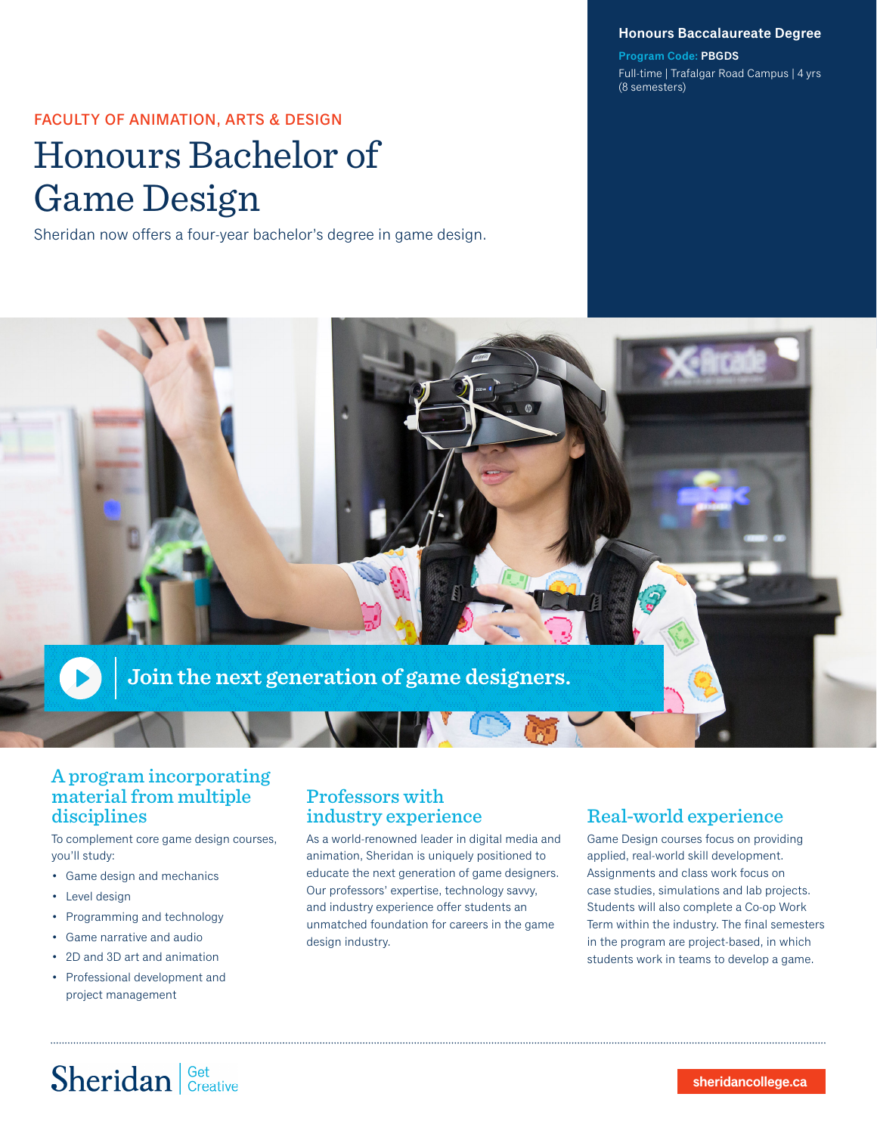#### **Honours Baccalaureate Degree**

**Program Code: PBGDS** Full-time | Trafalgar Road Campus | 4 yrs (8 semesters)

FACULTY OF ANIMATION, ARTS & DESIGN

# Honours Bachelor of Game Design

Sheridan now offers a four-year bachelor's degree in game design.



### A program incorporating material from multiple disciplines

To complement core game design courses, you'll study:

- Game design and mechanics
- Level design
- Programming and technology
- Game narrative and audio
- 2D and 3D art and animation
- Professional development and project management

### Professors with industry experience

As a world-renowned leader in digital media and animation, Sheridan is uniquely positioned to educate the next generation of game designers. Our professors' expertise, technology savvy, and industry experience offer students an unmatched foundation for careers in the game design industry.

## Real-world experience

Game Design courses focus on providing applied, real-world skill development. Assignments and class work focus on case studies, simulations and lab projects. Students will also complete a Co-op Work Term within the industry. The final semesters in the program are project-based, in which students work in teams to develop a game.

# Sheridan | Get Creative